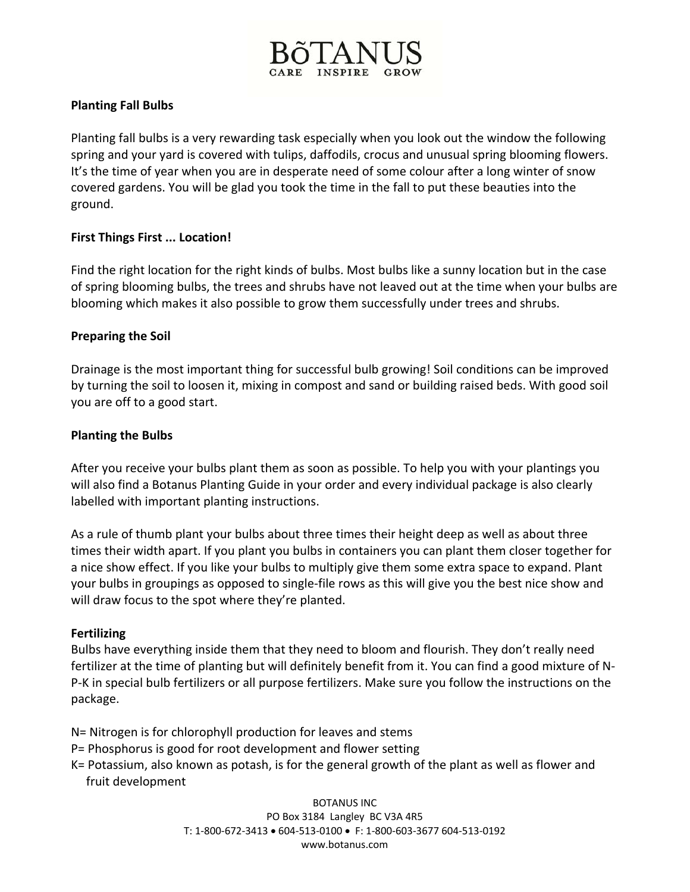

# **Planting Fall Bulbs**

Planting fall bulbs is a very rewarding task especially when you look out the window the following spring and your yard is covered with tulips, daffodils, crocus and unusual spring blooming flowers. It's the time of year when you are in desperate need of some colour after a long winter of snow covered gardens. You will be glad you took the time in the fall to put these beauties into the ground.

## **First Things First ... Location!**

Find the right location for the right kinds of bulbs. Most bulbs like a sunny location but in the case of spring blooming bulbs, the trees and shrubs have not leaved out at the time when your bulbs are blooming which makes it also possible to grow them successfully under trees and shrubs.

## **Preparing the Soil**

Drainage is the most important thing for successful bulb growing! Soil conditions can be improved by turning the soil to loosen it, mixing in compost and sand or building raised beds. With good soil you are off to a good start.

### **Planting the Bulbs**

After you receive your bulbs plant them as soon as possible. To help you with your plantings you will also find a Botanus Planting Guide in your order and every individual package is also clearly labelled with important planting instructions.

As a rule of thumb plant your bulbs about three times their height deep as well as about three times their width apart. If you plant you bulbs in containers you can plant them closer together for a nice show effect. If you like your bulbs to multiply give them some extra space to expand. Plant your bulbs in groupings as opposed to single‐file rows as this will give you the best nice show and will draw focus to the spot where they're planted.

#### **Fertilizing**

Bulbs have everything inside them that they need to bloom and flourish. They don't really need fertilizer at the time of planting but will definitely benefit from it. You can find a good mixture of N‐ P-K in special bulb fertilizers or all purpose fertilizers. Make sure you follow the instructions on the package.

- N= Nitrogen is for chlorophyll production for leaves and stems
- P= Phosphorus is good for root development and flower setting
- K= Potassium, also known as potash, is for the general growth of the plant as well as flower and fruit development

BOTANUS INC PO Box 3184 Langley BC V3A 4R5 T: 1‐800‐672‐3413 • 604‐513‐0100 • F: 1‐800‐603‐3677 604‐513‐0192 www.botanus.com